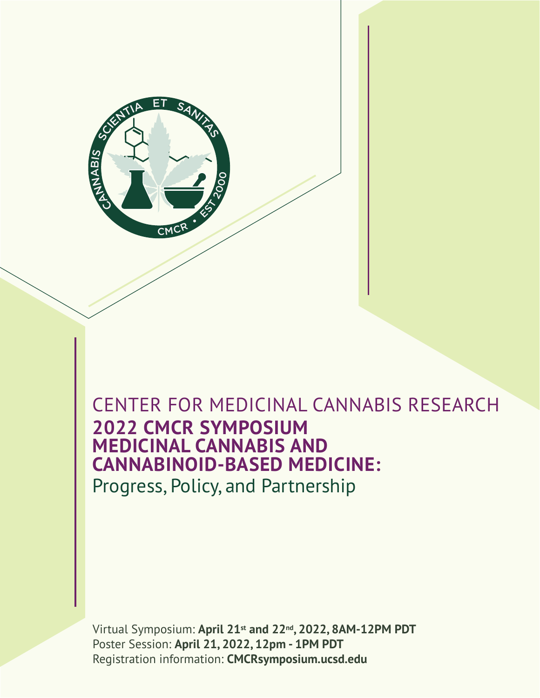

# **2022 CMCR SYMPOSIUM MEDICINAL CANNABIS AND CANNABINOID-BASED MEDICINE:** CENTER FOR MEDICINAL CANNABIS RESEARCH

Progress, Policy, and Partnership

Virtual Symposium: **April 21st and 22nd, 2022, 8AM-12PM PDT** Poster Session: **April 21, 2022, 12pm - 1PM PDT** Registration information: **CMCRsymposium.ucsd.edu**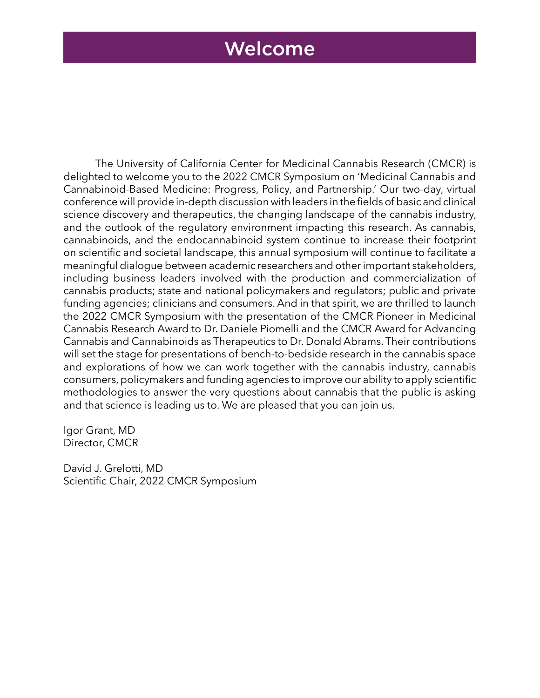## Welcome

The University of California Center for Medicinal Cannabis Research (CMCR) is delighted to welcome you to the 2022 CMCR Symposium on 'Medicinal Cannabis and Cannabinoid-Based Medicine: Progress, Policy, and Partnership.' Our two-day, virtual conference will provide in-depth discussion with leaders in the fields of basic and clinical science discovery and therapeutics, the changing landscape of the cannabis industry, and the outlook of the regulatory environment impacting this research. As cannabis, cannabinoids, and the endocannabinoid system continue to increase their footprint on scientific and societal landscape, this annual symposium will continue to facilitate a meaningful dialogue between academic researchers and other important stakeholders, including business leaders involved with the production and commercialization of cannabis products; state and national policymakers and regulators; public and private funding agencies; clinicians and consumers. And in that spirit, we are thrilled to launch the 2022 CMCR Symposium with the presentation of the CMCR Pioneer in Medicinal Cannabis Research Award to Dr. Daniele Piomelli and the CMCR Award for Advancing Cannabis and Cannabinoids as Therapeutics to Dr. Donald Abrams. Their contributions will set the stage for presentations of bench-to-bedside research in the cannabis space and explorations of how we can work together with the cannabis industry, cannabis consumers, policymakers and funding agencies to improve our ability to apply scientific methodologies to answer the very questions about cannabis that the public is asking and that science is leading us to. We are pleased that you can join us.

Igor Grant, MD Director, CMCR

David J. Grelotti, MD Scientific Chair, 2022 CMCR Symposium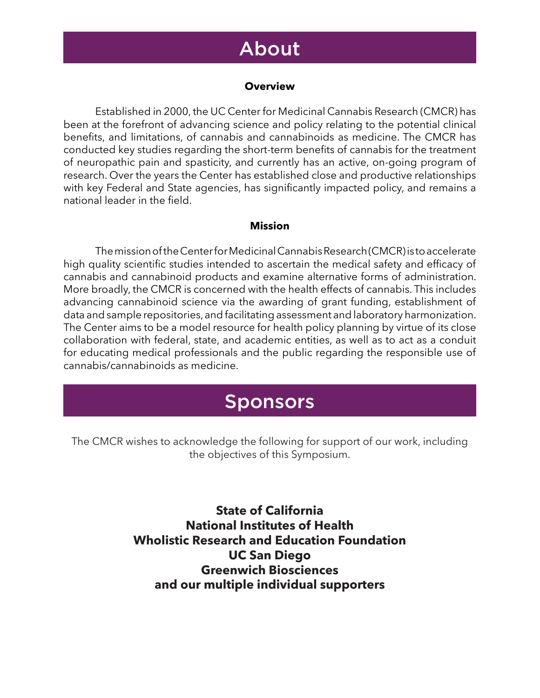## About

#### **Overview**

Established in 2000, the UC Center for Medicinal Cannabis Research (CMCR) has been at the forefront of advancing science and policy relating to the potential clinical benefits, and limitations, of cannabis and cannabinoids as medicine. The CMCR has conducted key studies regarding the short-term benefits of cannabis for the treatment of neuropathic pain and spasticity, and currently has an active, on-going program of research. Over the years the Center has established close and productive relationships with key Federal and State agencies, has significantly impacted policy, and remains a national leader in the field.

#### **Mission**

The mission of the Center for Medicinal Cannabis Research (CMCR) is to accelerate high quality scientific studies intended to ascertain the medical safety and efficacy of cannabis and cannabinoid products and examine alternative forms of administration. More broadly, the CMCR is concerned with the health effects of cannabis. This includes advancing cannabinoid science via the awarding of grant funding, establishment of data and sample repositories, and facilitating assessment and laboratory harmonization. The Center aims to be a model resource for health policy planning by virtue of its close collaboration with federal, state, and academic entities, as well as to act as a conduit for educating medical professionals and the public regarding the responsible use of cannabis/cannabinoids as medicine.

## **Sponsors**

The CMCR wishes to acknowledge the following for support of our work, including the objectives of this Symposium.

> **State of California National Institutes of Health Wholistic Research and Education Foundation UC San Diego Greenwich Biosciences and our multiple individual supporters**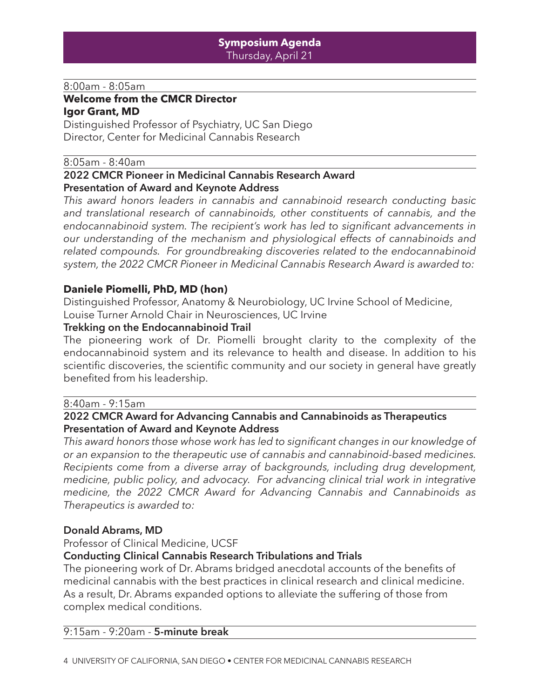#### 8:00am - 8:05am

#### **Welcome from the CMCR Director Igor Grant, MD**

Distinguished Professor of Psychiatry, UC San Diego Director, Center for Medicinal Cannabis Research

#### 8:05am - 8:40am

#### **2022 CMCR Pioneer in Medicinal Cannabis Research Award Presentation of Award and Keynote Address**

*This award honors leaders in cannabis and cannabinoid research conducting basic and translational research of cannabinoids, other constituents of cannabis, and the endocannabinoid system. The recipient's work has led to significant advancements in our understanding of the mechanism and physiological effects of cannabinoids and related compounds. For groundbreaking discoveries related to the endocannabinoid system, the 2022 CMCR Pioneer in Medicinal Cannabis Research Award is awarded to:*

#### **Daniele Piomelli, PhD, MD (hon)**

Distinguished Professor, Anatomy & Neurobiology, UC Irvine School of Medicine, Louise Turner Arnold Chair in Neurosciences, UC Irvine

#### **Trekking on the Endocannabinoid Trail**

The pioneering work of Dr. Piomelli brought clarity to the complexity of the endocannabinoid system and its relevance to health and disease. In addition to his scientific discoveries, the scientific community and our society in general have greatly benefited from his leadership.

#### 8:40am - 9:15am

#### **2022 CMCR Award for Advancing Cannabis and Cannabinoids as Therapeutics Presentation of Award and Keynote Address**

*This award honors those whose work has led to significant changes in our knowledge of or an expansion to the therapeutic use of cannabis and cannabinoid-based medicines. Recipients come from a diverse array of backgrounds, including drug development, medicine, public policy, and advocacy. For advancing clinical trial work in integrative medicine, the 2022 CMCR Award for Advancing Cannabis and Cannabinoids as Therapeutics is awarded to:*

#### **Donald Abrams, MD**

Professor of Clinical Medicine, UCSF

#### **Conducting Clinical Cannabis Research Tribulations and Trials**

The pioneering work of Dr. Abrams bridged anecdotal accounts of the benefits of medicinal cannabis with the best practices in clinical research and clinical medicine. As a result, Dr. Abrams expanded options to alleviate the suffering of those from complex medical conditions.

#### 9:15am - 9:20am - **5-minute break**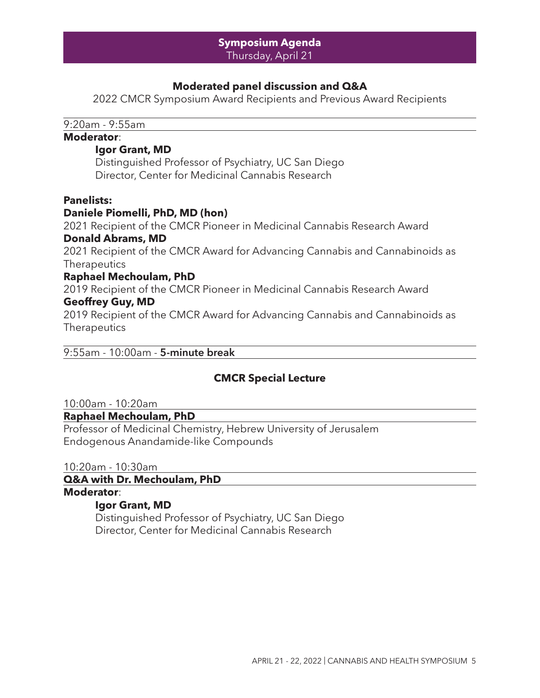#### **Symposium Agenda** Thursday, April 21

#### **Moderated panel discussion and Q&A**

2022 CMCR Symposium Award Recipients and Previous Award Recipients

9:20am - 9:55am

#### **Moderator**:

#### **Igor Grant, MD**

Distinguished Professor of Psychiatry, UC San Diego Director, Center for Medicinal Cannabis Research

#### **Panelists:**

#### **Daniele Piomelli, PhD, MD (hon)**

2021 Recipient of the CMCR Pioneer in Medicinal Cannabis Research Award **Donald Abrams, MD**

2021 Recipient of the CMCR Award for Advancing Cannabis and Cannabinoids as **Therapeutics** 

#### **Raphael Mechoulam, PhD**

2019 Recipient of the CMCR Pioneer in Medicinal Cannabis Research Award **Geoffrey Guy, MD**

2019 Recipient of the CMCR Award for Advancing Cannabis and Cannabinoids as **Therapeutics** 

#### 9:55am - 10:00am - **5-minute break**

#### **CMCR Special Lecture**

10:00am - 10:20am

#### **Raphael Mechoulam, PhD**

Professor of Medicinal Chemistry, Hebrew University of Jerusalem Endogenous Anandamide-like Compounds

10:20am - 10:30am

**Q&A with Dr. Mechoulam, PhD**

## **Moderator**:

#### **Igor Grant, MD**

Distinguished Professor of Psychiatry, UC San Diego Director, Center for Medicinal Cannabis Research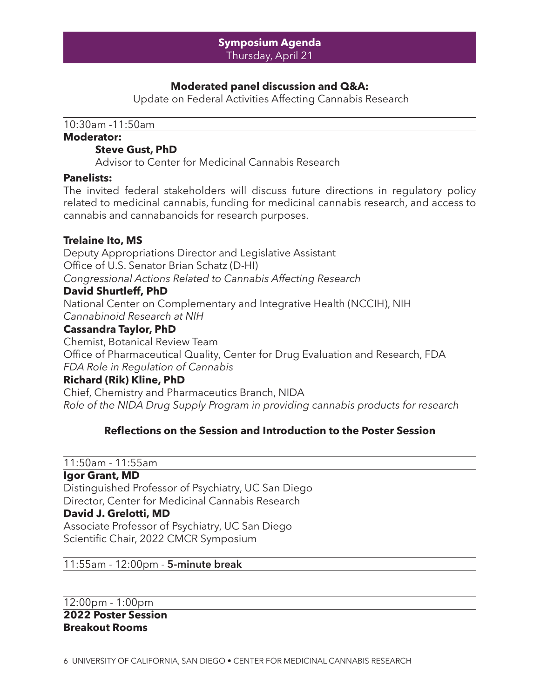### **Moderated panel discussion and Q&A:**

Update on Federal Activities Affecting Cannabis Research

10:30am -11:50am

#### **Moderator:**

#### **Steve Gust, PhD**

Advisor to Center for Medicinal Cannabis Research

#### **Panelists:**

The invited federal stakeholders will discuss future directions in regulatory policy related to medicinal cannabis, funding for medicinal cannabis research, and access to cannabis and cannabanoids for research purposes.

#### **Trelaine Ito, MS**

Deputy Appropriations Director and Legislative Assistant Office of U.S. Senator Brian Schatz (D-HI) *Congressional Actions Related to Cannabis Affecting Research* **David Shurtleff, PhD**

National Center on Complementary and Integrative Health (NCCIH), NIH *Cannabinoid Research at NIH*

#### **Cassandra Taylor, PhD**

Chemist, Botanical Review Team Office of Pharmaceutical Quality, Center for Drug Evaluation and Research, FDA *FDA Role in Regulation of Cannabis*

#### **Richard (Rik) Kline, PhD**

Chief, Chemistry and Pharmaceutics Branch, NIDA *Role of the NIDA Drug Supply Program in providing cannabis products for research*

#### **Reflections on the Session and Introduction to the Poster Session**

11:50am - 11:55am

#### **Igor Grant, MD**

Distinguished Professor of Psychiatry, UC San Diego Director, Center for Medicinal Cannabis Research

#### **David J. Grelotti, MD**

Associate Professor of Psychiatry, UC San Diego Scientific Chair, 2022 CMCR Symposium

#### 11:55am - 12:00pm - **5-minute break**

12:00pm - 1:00pm **2022 Poster Session Breakout Rooms**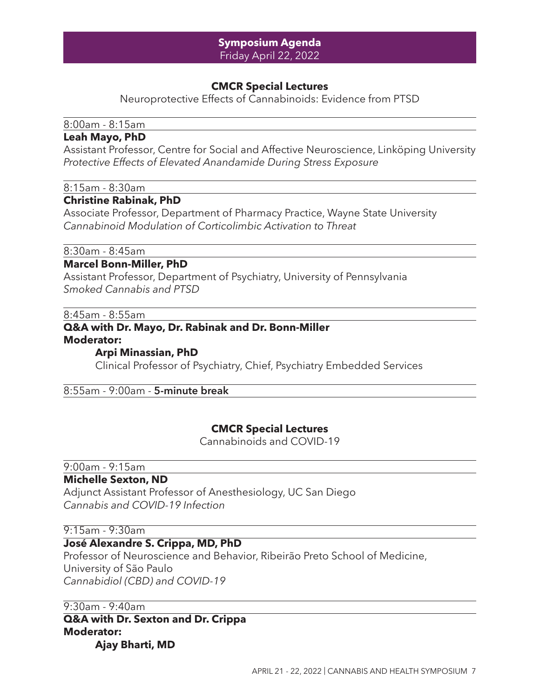#### **Symposium Agenda** Friday April 22, 2022

#### **CMCR Special Lectures**

Neuroprotective Effects of Cannabinoids: Evidence from PTSD

#### 8:00am - 8:15am

#### **Leah Mayo, PhD**

Assistant Professor, Centre for Social and Affective Neuroscience, Linköping University *Protective Effects of Elevated Anandamide During Stress Exposure*

#### 8:15am - 8:30am

#### **Christine Rabinak, PhD**

Associate Professor, Department of Pharmacy Practice, Wayne State University *Cannabinoid Modulation of Corticolimbic Activation to Threat*

8:30am - 8:45am

#### **Marcel Bonn-Miller, PhD**

Assistant Professor, Department of Psychiatry, University of Pennsylvania *Smoked Cannabis and PTSD*

8:45am - 8:55am

#### **Q&A with Dr. Mayo, Dr. Rabinak and Dr. Bonn-Miller Moderator:**

#### **Arpi Minassian, PhD**

Clinical Professor of Psychiatry, Chief, Psychiatry Embedded Services

#### 8:55am - 9:00am - **5-minute break**

#### **CMCR Special Lectures**

Cannabinoids and COVID-19

### 9:00am - 9:15am

#### **Michelle Sexton, ND**

Adjunct Assistant Professor of Anesthesiology, UC San Diego *Cannabis and COVID-19 Infection*

#### 9:15am - 9:30am

#### **José Alexandre S. Crippa, MD, PhD**

Professor of Neuroscience and Behavior, Ribeirão Preto School of Medicine, University of São Paulo *Cannabidiol (CBD) and COVID-19*

9:30am - 9:40am

**Q&A with Dr. Sexton and Dr. Crippa Moderator: Ajay Bharti, MD**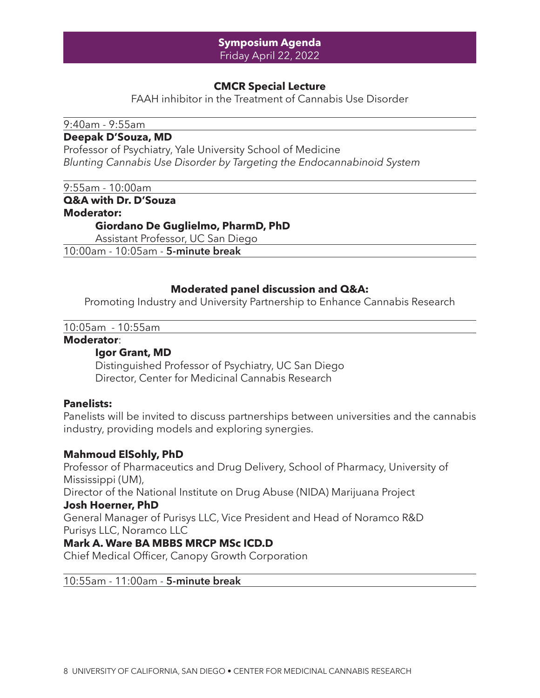#### **Symposium Agenda** Friday April 22, 2022

#### **CMCR Special Lecture**

FAAH inhibitor in the Treatment of Cannabis Use Disorder

#### 9:40am - 9:55am

#### **Deepak D'Souza, MD**

Professor of Psychiatry, Yale University School of Medicine *Blunting Cannabis Use Disorder by Targeting the Endocannabinoid System*

9:55am - 10:00am

**Q&A with Dr. D'Souza**

#### **Moderator:**

#### **Giordano De Guglielmo, PharmD, PhD**

Assistant Professor, UC San Diego

10:00am - 10:05am - **5-minute break**

#### **Moderated panel discussion and Q&A:**

Promoting Industry and University Partnership to Enhance Cannabis Research

10:05am - 10:55am

#### **Moderator**:

#### **Igor Grant, MD**

Distinguished Professor of Psychiatry, UC San Diego Director, Center for Medicinal Cannabis Research

#### **Panelists:**

Panelists will be invited to discuss partnerships between universities and the cannabis industry, providing models and exploring synergies.

#### **Mahmoud ElSohly, PhD**

Professor of Pharmaceutics and Drug Delivery, School of Pharmacy, University of Mississippi (UM),

Director of the National Institute on Drug Abuse (NIDA) Marijuana Project **Josh Hoerner, PhD**

General Manager of Purisys LLC, Vice President and Head of Noramco R&D Purisys LLC, Noramco LLC

#### **Mark A. Ware BA MBBS MRCP MSc ICD.D**

Chief Medical Officer, Canopy Growth Corporation

#### 10:55am - 11:00am - **5-minute break**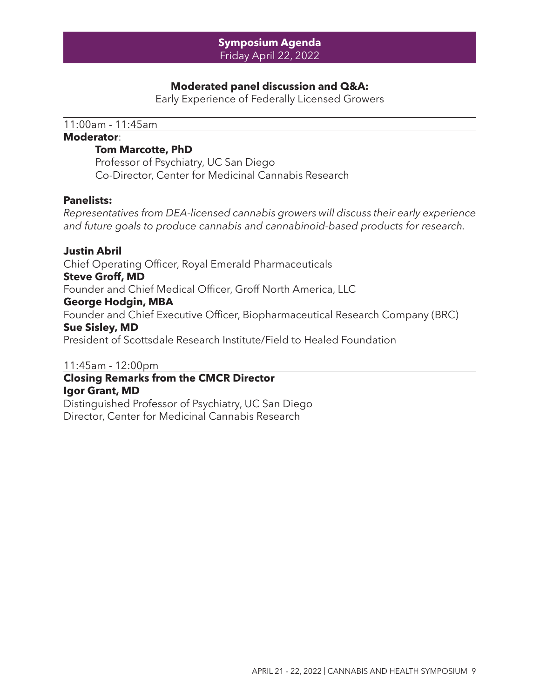#### **Symposium Agenda** Friday April 22, 2022

#### **Moderated panel discussion and Q&A:**

Early Experience of Federally Licensed Growers

11:00am - 11:45am

#### **Moderator**:

#### **Tom Marcotte, PhD**

Professor of Psychiatry, UC San Diego Co-Director, Center for Medicinal Cannabis Research

#### **Panelists:**

*Representatives from DEA-licensed cannabis growers will discuss their early experience and future goals to produce cannabis and cannabinoid-based products for research.*

**Justin Abril** Chief Operating Officer, Royal Emerald Pharmaceuticals **Steve Groff, MD** Founder and Chief Medical Officer, Groff North America, LLC **George Hodgin, MBA**  Founder and Chief Executive Officer, Biopharmaceutical Research Company (BRC) **Sue Sisley, MD** President of Scottsdale Research Institute/Field to Healed Foundation

#### 11:45am - 12:00pm

#### **Closing Remarks from the CMCR Director Igor Grant, MD**

Distinguished Professor of Psychiatry, UC San Diego Director, Center for Medicinal Cannabis Research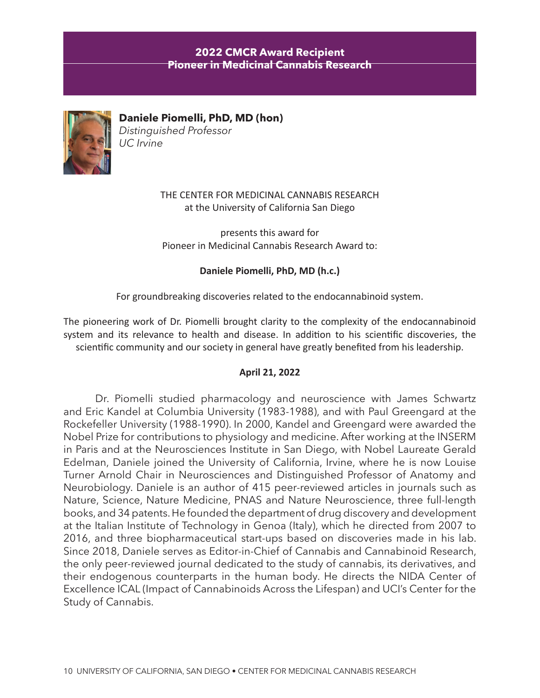#### **2022 CMCR Award Recipient Pioneer in Medicinal Cannabis Research**



**Daniele Piomelli, PhD, MD (hon)** *Distinguished Professor UC Irvine*

> THE CENTER FOR MEDICINAL CANNABIS RESEARCH at the University of California San Diego

presents this award for Pioneer in Medicinal Cannabis Research Award to:

**Daniele Piomelli, PhD, MD (h.c.)**

For groundbreaking discoveries related to the endocannabinoid system.

The pioneering work of Dr. Piomelli brought clarity to the complexity of the endocannabinoid system and its relevance to health and disease. In addition to his scientific discoveries, the scientific community and our society in general have greatly benefited from his leadership.

#### **April 21, 2022**

Dr. Piomelli studied pharmacology and neuroscience with James Schwartz and Eric Kandel at Columbia University (1983-1988), and with Paul Greengard at the Rockefeller University (1988-1990). In 2000, Kandel and Greengard were awarded the Nobel Prize for contributions to physiology and medicine. After working at the INSERM in Paris and at the Neurosciences Institute in San Diego, with Nobel Laureate Gerald Edelman, Daniele joined the University of California, Irvine, where he is now Louise Turner Arnold Chair in Neurosciences and Distinguished Professor of Anatomy and Neurobiology. Daniele is an author of 415 peer-reviewed articles in journals such as Nature, Science, Nature Medicine, PNAS and Nature Neuroscience, three full-length books, and 34 patents. He founded the department of drug discovery and development at the Italian Institute of Technology in Genoa (Italy), which he directed from 2007 to 2016, and three biopharmaceutical start-ups based on discoveries made in his lab. Since 2018, Daniele serves as Editor-in-Chief of Cannabis and Cannabinoid Research, the only peer-reviewed journal dedicated to the study of cannabis, its derivatives, and their endogenous counterparts in the human body. He directs the NIDA Center of Excellence ICAL (Impact of Cannabinoids Across the Lifespan) and UCI's Center for the Study of Cannabis.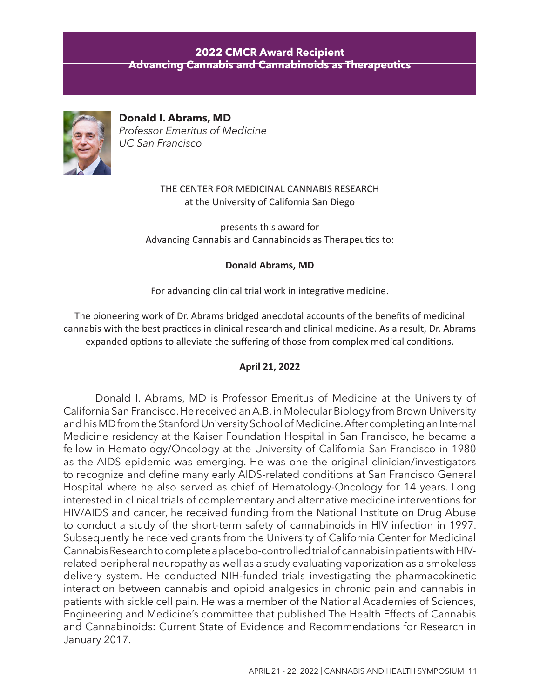#### **2022 CMCR Award Recipient Advancing Cannabis and Cannabinoids as Therapeutics**



**Donald I. Abrams, MD** *Professor Emeritus of Medicine UC San Francisco*

> THE CENTER FOR MEDICINAL CANNABIS RESEARCH at the University of California San Diego

presents this award for Advancing Cannabis and Cannabinoids as Therapeutics to:

#### **Donald Abrams, MD**

For advancing clinical trial work in integrative medicine.

The pioneering work of Dr. Abrams bridged anecdotal accounts of the benefits of medicinal cannabis with the best practices in clinical research and clinical medicine. As a result, Dr. Abrams expanded options to alleviate the suffering of those from complex medical conditions.

#### **April 21, 2022**

Donald I. Abrams, MD is Professor Emeritus of Medicine at the University of California San Francisco. He received an A.B. in Molecular Biology from Brown University and his MD from the Stanford University School of Medicine. After completing an Internal Medicine residency at the Kaiser Foundation Hospital in San Francisco, he became a fellow in Hematology/Oncology at the University of California San Francisco in 1980 as the AIDS epidemic was emerging. He was one the original clinician/investigators to recognize and define many early AIDS-related conditions at San Francisco General Hospital where he also served as chief of Hematology-Oncology for 14 years. Long interested in clinical trials of complementary and alternative medicine interventions for HIV/AIDS and cancer, he received funding from the National Institute on Drug Abuse to conduct a study of the short-term safety of cannabinoids in HIV infection in 1997. Subsequently he received grants from the University of California Center for Medicinal Cannabis Research to complete a placebo-controlled trial of cannabis in patients with HIVrelated peripheral neuropathy as well as a study evaluating vaporization as a smokeless delivery system. He conducted NIH-funded trials investigating the pharmacokinetic interaction between cannabis and opioid analgesics in chronic pain and cannabis in patients with sickle cell pain. He was a member of the National Academies of Sciences, Engineering and Medicine's committee that published The Health Effects of Cannabis and Cannabinoids: Current State of Evidence and Recommendations for Research in January 2017.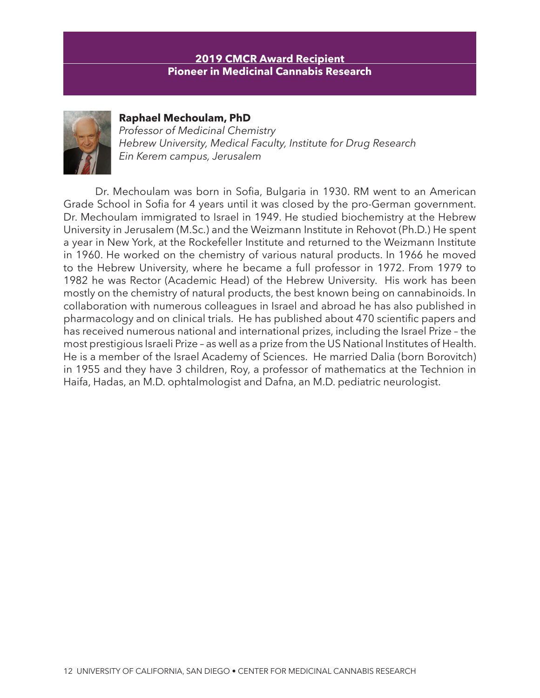#### **2019 CMCR Award Recipient Pioneer in Medicinal Cannabis Research**



**Raphael Mechoulam, PhD** 

*Professor of Medicinal Chemistry Hebrew University, Medical Faculty, Institute for Drug Research Ein Kerem campus, Jerusalem*

Dr. Mechoulam was born in Sofia, Bulgaria in 1930. RM went to an American Grade School in Sofia for 4 years until it was closed by the pro-German government. Dr. Mechoulam immigrated to Israel in 1949. He studied biochemistry at the Hebrew University in Jerusalem (M.Sc.) and the Weizmann Institute in Rehovot (Ph.D.) He spent a year in New York, at the Rockefeller Institute and returned to the Weizmann Institute in 1960. He worked on the chemistry of various natural products. In 1966 he moved to the Hebrew University, where he became a full professor in 1972. From 1979 to 1982 he was Rector (Academic Head) of the Hebrew University. His work has been mostly on the chemistry of natural products, the best known being on cannabinoids. In collaboration with numerous colleagues in Israel and abroad he has also published in pharmacology and on clinical trials. He has published about 470 scientific papers and has received numerous national and international prizes, including the Israel Prize – the most prestigious Israeli Prize – as well as a prize from the US National Institutes of Health. He is a member of the Israel Academy of Sciences. He married Dalia (born Borovitch) in 1955 and they have 3 children, Roy, a professor of mathematics at the Technion in Haifa, Hadas, an M.D. ophtalmologist and Dafna, an M.D. pediatric neurologist.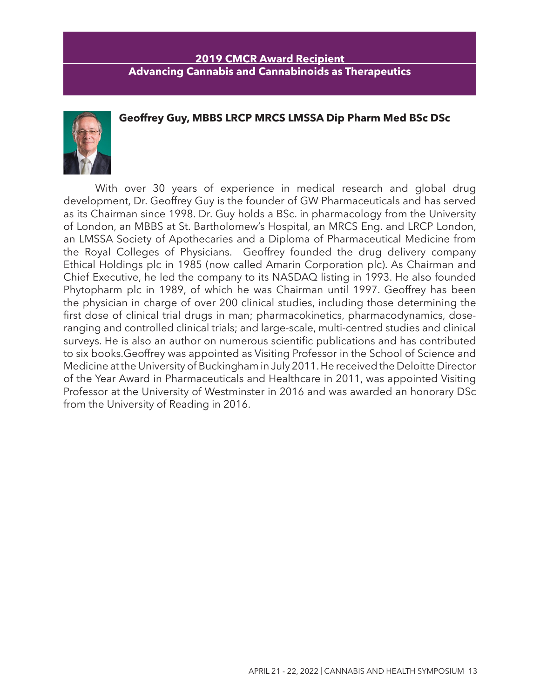#### **2019 CMCR Award Recipient Advancing Cannabis and Cannabinoids as Therapeutics**

#### **Geoffrey Guy, MBBS LRCP MRCS LMSSA Dip Pharm Med BSc DSc**



With over 30 years of experience in medical research and global drug development, Dr. Geoffrey Guy is the founder of GW Pharmaceuticals and has served as its Chairman since 1998. Dr. Guy holds a BSc. in pharmacology from the University of London, an MBBS at St. Bartholomew's Hospital, an MRCS Eng. and LRCP London, an LMSSA Society of Apothecaries and a Diploma of Pharmaceutical Medicine from the Royal Colleges of Physicians. Geoffrey founded the drug delivery company Ethical Holdings plc in 1985 (now called Amarin Corporation plc). As Chairman and Chief Executive, he led the company to its NASDAQ listing in 1993. He also founded Phytopharm plc in 1989, of which he was Chairman until 1997. Geoffrey has been the physician in charge of over 200 clinical studies, including those determining the first dose of clinical trial drugs in man; pharmacokinetics, pharmacodynamics, doseranging and controlled clinical trials; and large-scale, multi-centred studies and clinical surveys. He is also an author on numerous scientific publications and has contributed to six books.Geoffrey was appointed as Visiting Professor in the School of Science and Medicine at the University of Buckingham in July 2011. He received the Deloitte Director of the Year Award in Pharmaceuticals and Healthcare in 2011, was appointed Visiting Professor at the University of Westminster in 2016 and was awarded an honorary DSc from the University of Reading in 2016.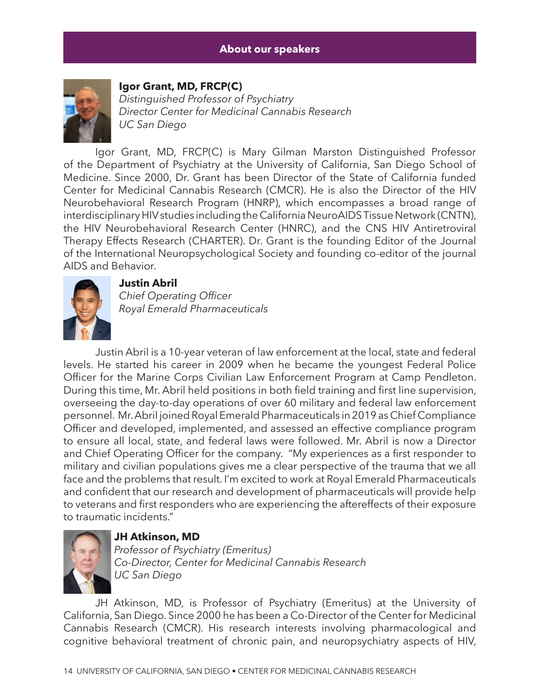

#### **Igor Grant, MD, FRCP(C)**

*Distinguished Professor of Psychiatry Director Center for Medicinal Cannabis Research UC San Diego*

Igor Grant, MD, FRCP(C) is Mary Gilman Marston Distinguished Professor of the Department of Psychiatry at the University of California, San Diego School of Medicine. Since 2000, Dr. Grant has been Director of the State of California funded Center for Medicinal Cannabis Research (CMCR). He is also the Director of the HIV Neurobehavioral Research Program (HNRP), which encompasses a broad range of interdisciplinary HIV studies including the California NeuroAIDS Tissue Network (CNTN), the HIV Neurobehavioral Research Center (HNRC), and the CNS HIV Antiretroviral Therapy Effects Research (CHARTER). Dr. Grant is the founding Editor of the Journal of the International Neuropsychological Society and founding co-editor of the journal AIDS and Behavior.



#### **Justin Abril**

*Chief Operating Officer Royal Emerald Pharmaceuticals*

Justin Abril is a 10-year veteran of law enforcement at the local, state and federal levels. He started his career in 2009 when he became the youngest Federal Police Officer for the Marine Corps Civilian Law Enforcement Program at Camp Pendleton. During this time, Mr. Abril held positions in both field training and first line supervision, overseeing the day-to-day operations of over 60 military and federal law enforcement personnel. Mr. Abril joined Royal Emerald Pharmaceuticals in 2019 as Chief Compliance Officer and developed, implemented, and assessed an effective compliance program to ensure all local, state, and federal laws were followed. Mr. Abril is now a Director and Chief Operating Officer for the company. "My experiences as a first responder to military and civilian populations gives me a clear perspective of the trauma that we all face and the problems that result. I'm excited to work at Royal Emerald Pharmaceuticals and confident that our research and development of pharmaceuticals will provide help to veterans and first responders who are experiencing the aftereffects of their exposure to traumatic incidents."



#### **JH Atkinson, MD**

*Professor of Psychiatry (Emeritus) Co-Director, Center for Medicinal Cannabis Research UC San Diego*

JH Atkinson, MD, is Professor of Psychiatry (Emeritus) at the University of California, San Diego. Since 2000 he has been a Co-Director of the Center for Medicinal Cannabis Research (CMCR). His research interests involving pharmacological and cognitive behavioral treatment of chronic pain, and neuropsychiatry aspects of HIV,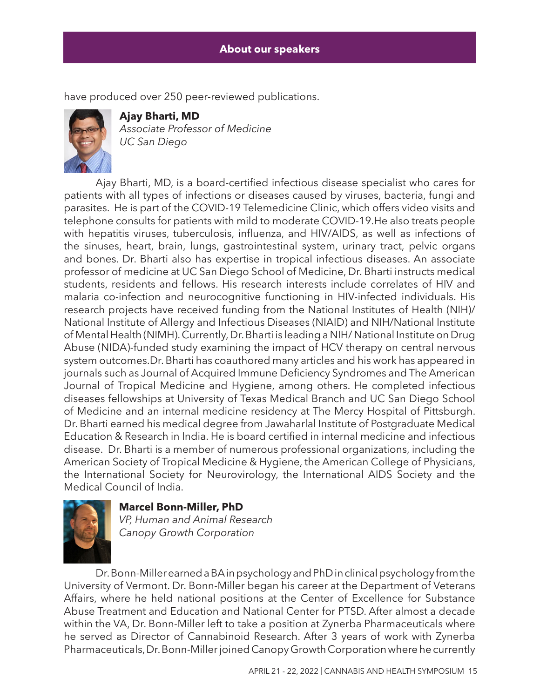have produced over 250 peer-reviewed publications.



**Ajay Bharti, MD** *Associate Professor of Medicine UC San Diego*

Ajay Bharti, MD, is a board-certified infectious disease specialist who cares for patients with all types of infections or diseases caused by viruses, bacteria, fungi and parasites. He is part of the COVID-19 Telemedicine Clinic, which offers video visits and telephone consults for patients with mild to moderate COVID-19.He also treats people with hepatitis viruses, tuberculosis, influenza, and HIV/AIDS, as well as infections of the sinuses, heart, brain, lungs, gastrointestinal system, urinary tract, pelvic organs and bones. Dr. Bharti also has expertise in tropical infectious diseases. An associate professor of medicine at UC San Diego School of Medicine, Dr. Bharti instructs medical students, residents and fellows. His research interests include correlates of HIV and malaria co-infection and neurocognitive functioning in HIV-infected individuals. His research projects have received funding from the National Institutes of Health (NIH)/ National Institute of Allergy and Infectious Diseases (NIAID) and NIH/National Institute of Mental Health (NIMH). Currently, Dr. Bharti is leading a NIH/ National Institute on Drug Abuse (NIDA)-funded study examining the impact of HCV therapy on central nervous system outcomes.Dr. Bharti has coauthored many articles and his work has appeared in journals such as Journal of Acquired Immune Deficiency Syndromes and The American Journal of Tropical Medicine and Hygiene, among others. He completed infectious diseases fellowships at University of Texas Medical Branch and UC San Diego School of Medicine and an internal medicine residency at The Mercy Hospital of Pittsburgh. Dr. Bharti earned his medical degree from Jawaharlal Institute of Postgraduate Medical Education & Research in India. He is board certified in internal medicine and infectious disease. Dr. Bharti is a member of numerous professional organizations, including the American Society of Tropical Medicine & Hygiene, the American College of Physicians, the International Society for Neurovirology, the International AIDS Society and the Medical Council of India.





*VP, Human and Animal Research Canopy Growth Corporation*

Dr. Bonn-Miller earned a BA in psychology and PhD in clinical psychology from the University of Vermont. Dr. Bonn-Miller began his career at the Department of Veterans Affairs, where he held national positions at the Center of Excellence for Substance Abuse Treatment and Education and National Center for PTSD. After almost a decade within the VA, Dr. Bonn-Miller left to take a position at Zynerba Pharmaceuticals where he served as Director of Cannabinoid Research. After 3 years of work with Zynerba Pharmaceuticals, Dr. Bonn-Miller joined Canopy Growth Corporation where he currently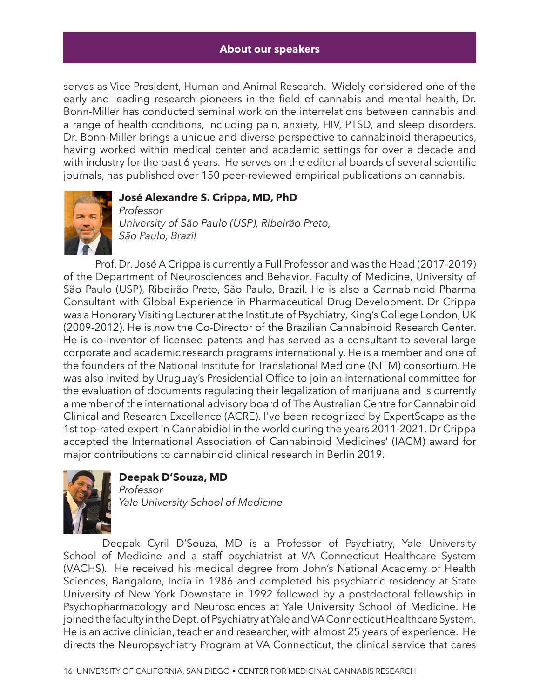serves as Vice President, Human and Animal Research. Widely considered one of the early and leading research pioneers in the field of cannabis and mental health, Dr. Bonn-Miller has conducted seminal work on the interrelations between cannabis and a range of health conditions, including pain, anxiety, HIV, PTSD, and sleep disorders. Dr. Bonn-Miller brings a unique and diverse perspective to cannabinoid therapeutics, having worked within medical center and academic settings for over a decade and with industry for the past 6 years. He serves on the editorial boards of several scientific journals, has published over 150 peer-reviewed empirical publications on cannabis.



#### **José Alexandre S. Crippa, MD, PhD**

*Professor University of São Paulo (USP), Ribeirão Preto, São Paulo, Brazil*

Prof. Dr. José A Crippa is currently a Full Professor and was the Head (2017-2019) of the Department of Neurosciences and Behavior, Faculty of Medicine, University of São Paulo (USP), Ribeirão Preto, São Paulo, Brazil. He is also a Cannabinoid Pharma Consultant with Global Experience in Pharmaceutical Drug Development. Dr Crippa was a Honorary Visiting Lecturer at the Institute of Psychiatry, King's College London, UK (2009-2012). He is now the Co-Director of the Brazilian Cannabinoid Research Center. He is co-inventor of licensed patents and has served as a consultant to several large corporate and academic research programs internationally. He is a member and one of the founders of the National Institute for Translational Medicine (NITM) consortium. He was also invited by Uruguay's Presidential Office to join an international committee for the evaluation of documents regulating their legalization of marijuana and is currently a member of the international advisory board of The Australian Centre for Cannabinoid Clinical and Research Excellence (ACRE). I've been recognized by ExpertScape as the 1st top-rated expert in Cannabidiol in the world during the years 2011-2021. Dr Crippa accepted the International Association of Cannabinoid Medicines' (IACM) award for major contributions to cannabinoid clinical research in Berlin 2019.



#### **Deepak D'Souza, MD**

*Professor Yale University School of Medicine*

 Deepak Cyril D'Souza, MD is a Professor of Psychiatry, Yale University School of Medicine and a staff psychiatrist at VA Connecticut Healthcare System (VACHS). He received his medical degree from John's National Academy of Health Sciences, Bangalore, India in 1986 and completed his psychiatric residency at State University of New York Downstate in 1992 followed by a postdoctoral fellowship in Psychopharmacology and Neurosciences at Yale University School of Medicine. He joined the faculty in the Dept. of Psychiatry at Yale and VA Connecticut Healthcare System. He is an active clinician, teacher and researcher, with almost 25 years of experience. He directs the Neuropsychiatry Program at VA Connecticut, the clinical service that cares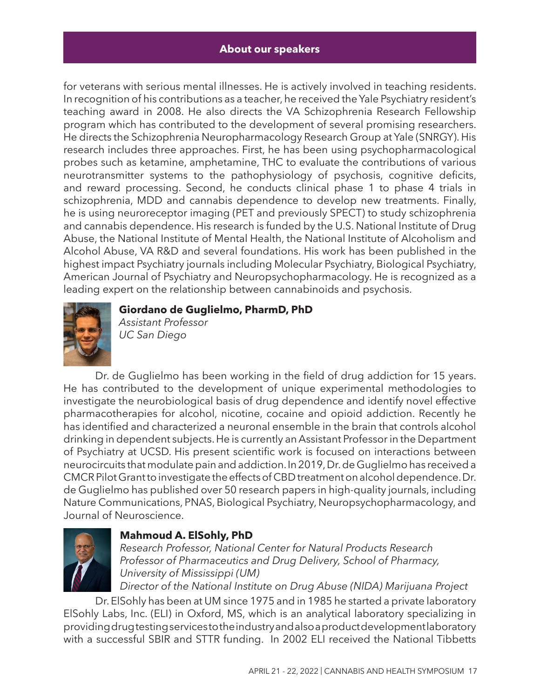for veterans with serious mental illnesses. He is actively involved in teaching residents. In recognition of his contributions as a teacher, he received the Yale Psychiatry resident's teaching award in 2008. He also directs the VA Schizophrenia Research Fellowship program which has contributed to the development of several promising researchers. He directs the Schizophrenia Neuropharmacology Research Group at Yale (SNRGY). His research includes three approaches. First, he has been using psychopharmacological probes such as ketamine, amphetamine, THC to evaluate the contributions of various neurotransmitter systems to the pathophysiology of psychosis, cognitive deficits, and reward processing. Second, he conducts clinical phase 1 to phase 4 trials in schizophrenia, MDD and cannabis dependence to develop new treatments. Finally, he is using neuroreceptor imaging (PET and previously SPECT) to study schizophrenia and cannabis dependence. His research is funded by the U.S. National Institute of Drug Abuse, the National Institute of Mental Health, the National Institute of Alcoholism and Alcohol Abuse, VA R&D and several foundations. His work has been published in the highest impact Psychiatry journals including Molecular Psychiatry, Biological Psychiatry, American Journal of Psychiatry and Neuropsychopharmacology. He is recognized as a leading expert on the relationship between cannabinoids and psychosis.



#### **Giordano de Guglielmo, PharmD, PhD**

*Assistant Professor UC San Diego*

Dr. de Guglielmo has been working in the field of drug addiction for 15 years. He has contributed to the development of unique experimental methodologies to investigate the neurobiological basis of drug dependence and identify novel effective pharmacotherapies for alcohol, nicotine, cocaine and opioid addiction. Recently he has identified and characterized a neuronal ensemble in the brain that controls alcohol drinking in dependent subjects. He is currently an Assistant Professor in the Department of Psychiatry at UCSD. His present scientific work is focused on interactions between neurocircuits that modulate pain and addiction. In 2019, Dr. de Guglielmo has received a CMCR Pilot Grant to investigate the effects of CBD treatment on alcohol dependence. Dr. de Guglielmo has published over 50 research papers in high-quality journals, including Nature Communications, PNAS, Biological Psychiatry, Neuropsychopharmacology, and Journal of Neuroscience.



#### **Mahmoud A. ElSohly, PhD**

*Research Professor, National Center for Natural Products Research Professor of Pharmaceutics and Drug Delivery, School of Pharmacy, University of Mississippi (UM)*

*Director of the National Institute on Drug Abuse (NIDA) Marijuana Project*

Dr. ElSohly has been at UM since 1975 and in 1985 he started a private laboratory ElSohly Labs, Inc. (ELI) in Oxford, MS, which is an analytical laboratory specializing in providing drug testing services to the industry and also a product development laboratory with a successful SBIR and STTR funding. In 2002 ELI received the National Tibbetts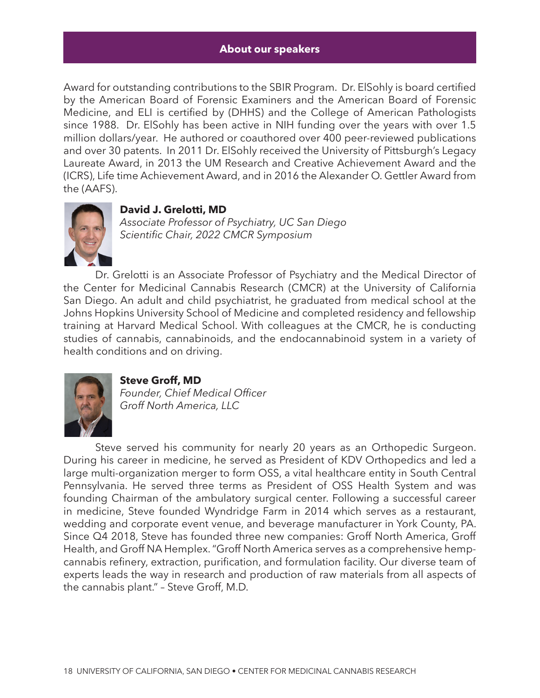Award for outstanding contributions to the SBIR Program. Dr. ElSohly is board certified by the American Board of Forensic Examiners and the American Board of Forensic Medicine, and ELI is certified by (DHHS) and the College of American Pathologists since 1988. Dr. ElSohly has been active in NIH funding over the years with over 1.5 million dollars/year. He authored or coauthored over 400 peer-reviewed publications and over 30 patents. In 2011 Dr. ElSohly received the University of Pittsburgh's Legacy Laureate Award, in 2013 the UM Research and Creative Achievement Award and the (ICRS), Life time Achievement Award, and in 2016 the Alexander O. Gettler Award from the (AAFS).



#### **David J. Grelotti, MD**

*Associate Professor of Psychiatry, UC San Diego Scientific Chair, 2022 CMCR Symposium*

Dr. Grelotti is an Associate Professor of Psychiatry and the Medical Director of the Center for Medicinal Cannabis Research (CMCR) at the University of California San Diego. An adult and child psychiatrist, he graduated from medical school at the Johns Hopkins University School of Medicine and completed residency and fellowship training at Harvard Medical School. With colleagues at the CMCR, he is conducting studies of cannabis, cannabinoids, and the endocannabinoid system in a variety of health conditions and on driving.



**Steve Groff, MD** *Founder, Chief Medical Officer Groff North America, LLC* 

Steve served his community for nearly 20 years as an Orthopedic Surgeon. During his career in medicine, he served as President of KDV Orthopedics and led a large multi-organization merger to form OSS, a vital healthcare entity in South Central Pennsylvania. He served three terms as President of OSS Health System and was founding Chairman of the ambulatory surgical center. Following a successful career in medicine, Steve founded Wyndridge Farm in 2014 which serves as a restaurant, wedding and corporate event venue, and beverage manufacturer in York County, PA. Since Q4 2018, Steve has founded three new companies: Groff North America, Groff Health, and Groff NA Hemplex. "Groff North America serves as a comprehensive hempcannabis refinery, extraction, purification, and formulation facility. Our diverse team of experts leads the way in research and production of raw materials from all aspects of the cannabis plant." – Steve Groff, M.D.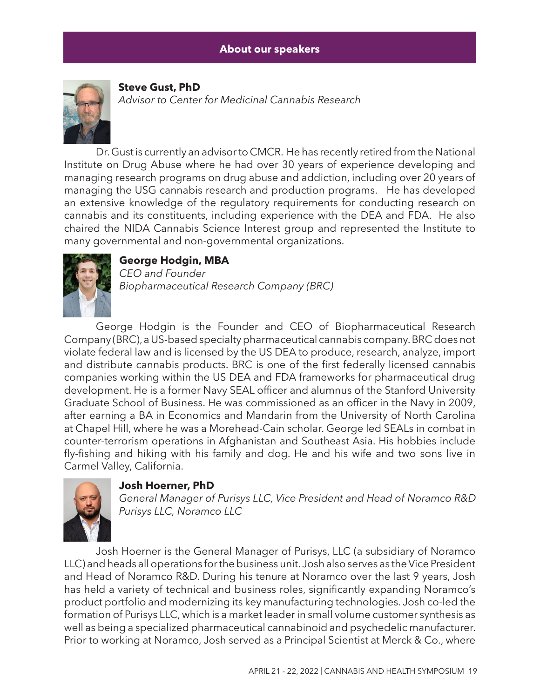

#### **Steve Gust, PhD** *Advisor to Center for Medicinal Cannabis Research*

Dr. Gust is currently an advisor to CMCR. He has recently retired from the National Institute on Drug Abuse where he had over 30 years of experience developing and managing research programs on drug abuse and addiction, including over 20 years of managing the USG cannabis research and production programs. He has developed an extensive knowledge of the regulatory requirements for conducting research on cannabis and its constituents, including experience with the DEA and FDA. He also chaired the NIDA Cannabis Science Interest group and represented the Institute to many governmental and non-governmental organizations.



### **George Hodgin, MBA**

*CEO and Founder Biopharmaceutical Research Company (BRC)*

George Hodgin is the Founder and CEO of Biopharmaceutical Research Company (BRC), a US-based specialty pharmaceutical cannabis company. BRC does not violate federal law and is licensed by the US DEA to produce, research, analyze, import and distribute cannabis products. BRC is one of the first federally licensed cannabis companies working within the US DEA and FDA frameworks for pharmaceutical drug development. He is a former Navy SEAL officer and alumnus of the Stanford University Graduate School of Business. He was commissioned as an officer in the Navy in 2009, after earning a BA in Economics and Mandarin from the University of North Carolina at Chapel Hill, where he was a Morehead-Cain scholar. George led SEALs in combat in counter-terrorism operations in Afghanistan and Southeast Asia. His hobbies include fly-fishing and hiking with his family and dog. He and his wife and two sons live in Carmel Valley, California.



#### **Josh Hoerner, PhD**

*General Manager of Purisys LLC, Vice President and Head of Noramco R&D Purisys LLC, Noramco LLC*

Josh Hoerner is the General Manager of Purisys, LLC (a subsidiary of Noramco LLC) and heads all operations for the business unit. Josh also serves as the Vice President and Head of Noramco R&D. During his tenure at Noramco over the last 9 years, Josh has held a variety of technical and business roles, significantly expanding Noramco's product portfolio and modernizing its key manufacturing technologies. Josh co-led the formation of Purisys LLC, which is a market leader in small volume customer synthesis as well as being a specialized pharmaceutical cannabinoid and psychedelic manufacturer. Prior to working at Noramco, Josh served as a Principal Scientist at Merck & Co., where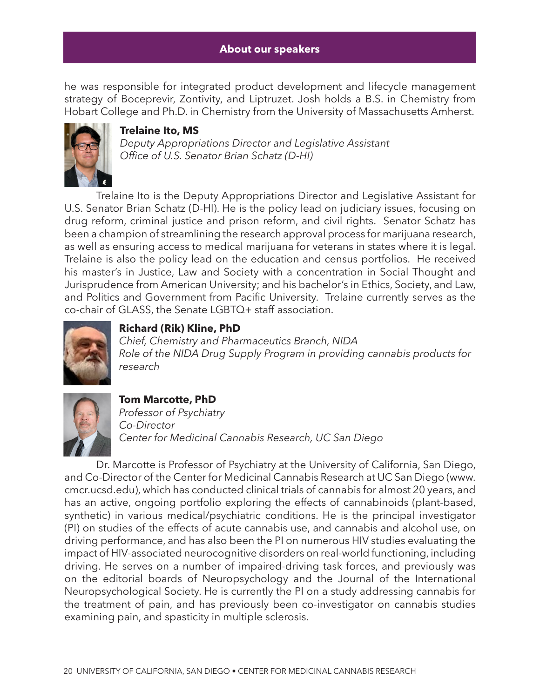he was responsible for integrated product development and lifecycle management strategy of Boceprevir, Zontivity, and Liptruzet. Josh holds a B.S. in Chemistry from Hobart College and Ph.D. in Chemistry from the University of Massachusetts Amherst.



#### **Trelaine Ito, MS**

*Deputy Appropriations Director and Legislative Assistant Office of U.S. Senator Brian Schatz (D-HI)*

Trelaine Ito is the Deputy Appropriations Director and Legislative Assistant for U.S. Senator Brian Schatz (D-HI). He is the policy lead on judiciary issues, focusing on drug reform, criminal justice and prison reform, and civil rights. Senator Schatz has been a champion of streamlining the research approval process for marijuana research, as well as ensuring access to medical marijuana for veterans in states where it is legal. Trelaine is also the policy lead on the education and census portfolios. He received his master's in Justice, Law and Society with a concentration in Social Thought and Jurisprudence from American University; and his bachelor's in Ethics, Society, and Law, and Politics and Government from Pacific University. Trelaine currently serves as the co-chair of GLASS, the Senate LGBTQ+ staff association.



#### **Richard (Rik) Kline, PhD**

*Chief, Chemistry and Pharmaceutics Branch, NIDA Role of the NIDA Drug Supply Program in providing cannabis products for research*



#### **Tom Marcotte, PhD**

*Professor of Psychiatry Co-Director Center for Medicinal Cannabis Research, UC San Diego*

Dr. Marcotte is Professor of Psychiatry at the University of California, San Diego, and Co-Director of the Center for Medicinal Cannabis Research at UC San Diego (www. cmcr.ucsd.edu), which has conducted clinical trials of cannabis for almost 20 years, and has an active, ongoing portfolio exploring the effects of cannabinoids (plant-based, synthetic) in various medical/psychiatric conditions. He is the principal investigator (PI) on studies of the effects of acute cannabis use, and cannabis and alcohol use, on driving performance, and has also been the PI on numerous HIV studies evaluating the impact of HIV-associated neurocognitive disorders on real-world functioning, including driving. He serves on a number of impaired-driving task forces, and previously was on the editorial boards of Neuropsychology and the Journal of the International Neuropsychological Society. He is currently the PI on a study addressing cannabis for the treatment of pain, and has previously been co-investigator on cannabis studies examining pain, and spasticity in multiple sclerosis.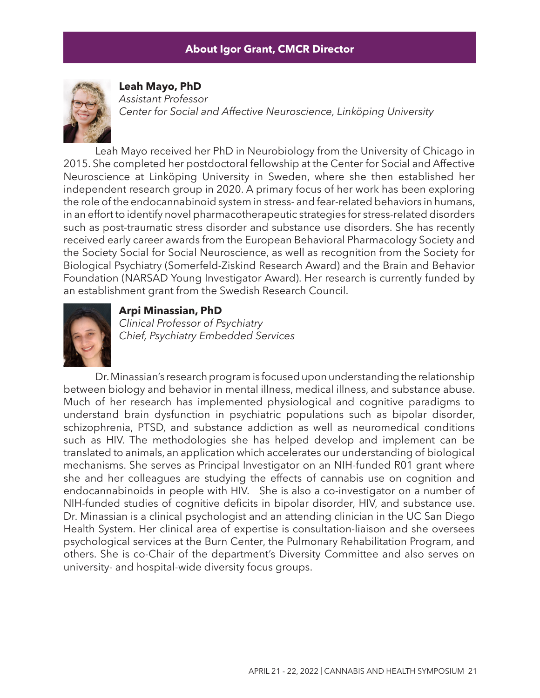#### **About our speakers About Igor Grant, CMCR Director**



**Leah Mayo, PhD** *Assistant Professor Center for Social and Affective Neuroscience, Linköping University*

Leah Mayo received her PhD in Neurobiology from the University of Chicago in 2015. She completed her postdoctoral fellowship at the Center for Social and Affective Neuroscience at Linköping University in Sweden, where she then established her independent research group in 2020. A primary focus of her work has been exploring the role of the endocannabinoid system in stress- and fear-related behaviors in humans, in an effort to identify novel pharmacotherapeutic strategies for stress-related disorders such as post-traumatic stress disorder and substance use disorders. She has recently received early career awards from the European Behavioral Pharmacology Society and the Society Social for Social Neuroscience, as well as recognition from the Society for Biological Psychiatry (Somerfeld-Ziskind Research Award) and the Brain and Behavior Foundation (NARSAD Young Investigator Award). Her research is currently funded by an establishment grant from the Swedish Research Council.



#### **Arpi Minassian, PhD**

*Clinical Professor of Psychiatry Chief, Psychiatry Embedded Services*

Dr. Minassian's research program is focused upon understanding the relationship between biology and behavior in mental illness, medical illness, and substance abuse. Much of her research has implemented physiological and cognitive paradigms to understand brain dysfunction in psychiatric populations such as bipolar disorder, schizophrenia, PTSD, and substance addiction as well as neuromedical conditions such as HIV. The methodologies she has helped develop and implement can be translated to animals, an application which accelerates our understanding of biological mechanisms. She serves as Principal Investigator on an NIH-funded R01 grant where she and her colleagues are studying the effects of cannabis use on cognition and endocannabinoids in people with HIV. She is also a co-investigator on a number of NIH-funded studies of cognitive deficits in bipolar disorder, HIV, and substance use. Dr. Minassian is a clinical psychologist and an attending clinician in the UC San Diego Health System. Her clinical area of expertise is consultation-liaison and she oversees psychological services at the Burn Center, the Pulmonary Rehabilitation Program, and others. She is co-Chair of the department's Diversity Committee and also serves on university- and hospital-wide diversity focus groups.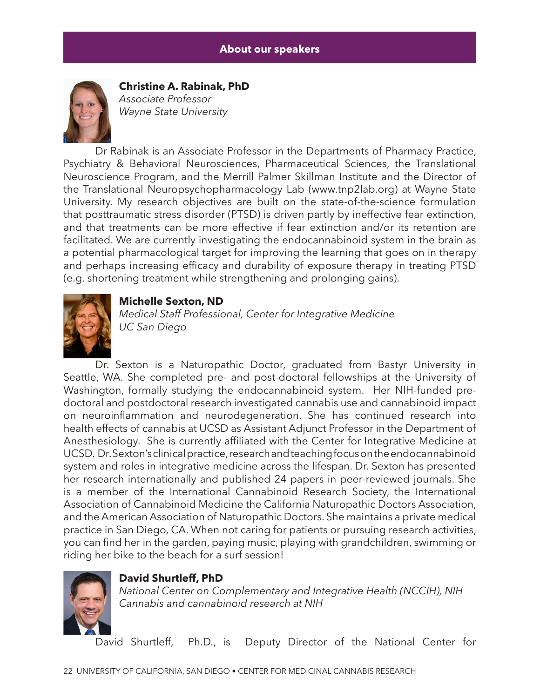

**Christine A. Rabinak, PhD** *Associate Professor Wayne State University*

Dr Rabinak is an Associate Professor in the Departments of Pharmacy Practice, Psychiatry & Behavioral Neurosciences, Pharmaceutical Sciences, the Translational Neuroscience Program, and the Merrill Palmer Skillman Institute and the Director of the Translational Neuropsychopharmacology Lab (www.tnp2lab.org) at Wayne State University. My research objectives are built on the state-of-the-science formulation that posttraumatic stress disorder (PTSD) is driven partly by ineffective fear extinction, and that treatments can be more effective if fear extinction and/or its retention are facilitated. We are currently investigating the endocannabinoid system in the brain as a potential pharmacological target for improving the learning that goes on in therapy and perhaps increasing efficacy and durability of exposure therapy in treating PTSD (e.g. shortening treatment while strengthening and prolonging gains).



#### **Michelle Sexton, ND**

*Medical Staff Professional, Center for Integrative Medicine UC San Diego*

Dr. Sexton is a Naturopathic Doctor, graduated from Bastyr University in Seattle, WA. She completed pre- and post-doctoral fellowships at the University of Washington, formally studying the endocannabinoid system. Her NIH-funded predoctoral and postdoctoral research investigated cannabis use and cannabinoid impact on neuroinflammation and neurodegeneration. She has continued research into health effects of cannabis at UCSD as Assistant Adjunct Professor in the Department of Anesthesiology. She is currently affiliated with the Center for Integrative Medicine at UCSD. Dr. Sexton's clinical practice, research and teaching focus on the endocannabinoid system and roles in integrative medicine across the lifespan. Dr. Sexton has presented her research internationally and published 24 papers in peer-reviewed journals. She is a member of the International Cannabinoid Research Society, the International Association of Cannabinoid Medicine the California Naturopathic Doctors Association, and the American Association of Naturopathic Doctors. She maintains a private medical practice in San Diego, CA. When not caring for patients or pursuing research activities, you can find her in the garden, paying music, playing with grandchildren, swimming or riding her bike to the beach for a surf session!



#### **David Shurtleff, PhD**

*National Center on Complementary and Integrative Health (NCCIH), NIH Cannabis and cannabinoid research at NIH*

David Shurtleff, Ph.D., is Deputy Director of the National Center for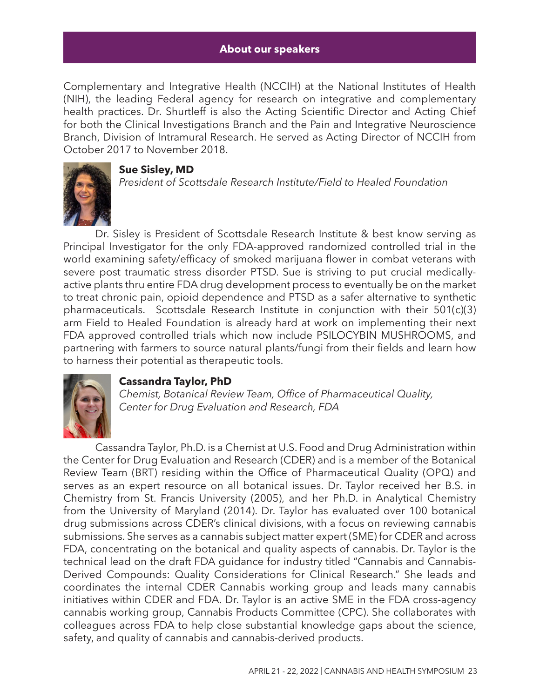Complementary and Integrative Health (NCCIH) at the National Institutes of Health (NIH), the leading Federal agency for research on integrative and complementary health practices. Dr. Shurtleff is also the Acting Scientific Director and Acting Chief for both the Clinical Investigations Branch and the Pain and Integrative Neuroscience Branch, Division of Intramural Research. He served as Acting Director of NCCIH from October 2017 to November 2018.



#### **Sue Sisley, MD**

*President of Scottsdale Research Institute/Field to Healed Foundation*

Dr. Sisley is President of Scottsdale Research Institute & best know serving as Principal Investigator for the only FDA-approved randomized controlled trial in the world examining safety/efficacy of smoked marijuana flower in combat veterans with severe post traumatic stress disorder PTSD. Sue is striving to put crucial medicallyactive plants thru entire FDA drug development process to eventually be on the market to treat chronic pain, opioid dependence and PTSD as a safer alternative to synthetic pharmaceuticals. Scottsdale Research Institute in conjunction with their 501(c)(3) arm Field to Healed Foundation is already hard at work on implementing their next FDA approved controlled trials which now include PSILOCYBIN MUSHROOMS, and partnering with farmers to source natural plants/fungi from their fields and learn how to harness their potential as therapeutic tools.



#### **Cassandra Taylor, PhD**

*Chemist, Botanical Review Team, Office of Pharmaceutical Quality, Center for Drug Evaluation and Research, FDA*

Cassandra Taylor, Ph.D. is a Chemist at U.S. Food and Drug Administration within the Center for Drug Evaluation and Research (CDER) and is a member of the Botanical Review Team (BRT) residing within the Office of Pharmaceutical Quality (OPQ) and serves as an expert resource on all botanical issues. Dr. Taylor received her B.S. in Chemistry from St. Francis University (2005), and her Ph.D. in Analytical Chemistry from the University of Maryland (2014). Dr. Taylor has evaluated over 100 botanical drug submissions across CDER's clinical divisions, with a focus on reviewing cannabis submissions. She serves as a cannabis subject matter expert (SME) for CDER and across FDA, concentrating on the botanical and quality aspects of cannabis. Dr. Taylor is the technical lead on the draft FDA guidance for industry titled "Cannabis and Cannabis-Derived Compounds: Quality Considerations for Clinical Research." She leads and coordinates the internal CDER Cannabis working group and leads many cannabis initiatives within CDER and FDA. Dr. Taylor is an active SME in the FDA cross-agency cannabis working group, Cannabis Products Committee (CPC). She collaborates with colleagues across FDA to help close substantial knowledge gaps about the science, safety, and quality of cannabis and cannabis-derived products.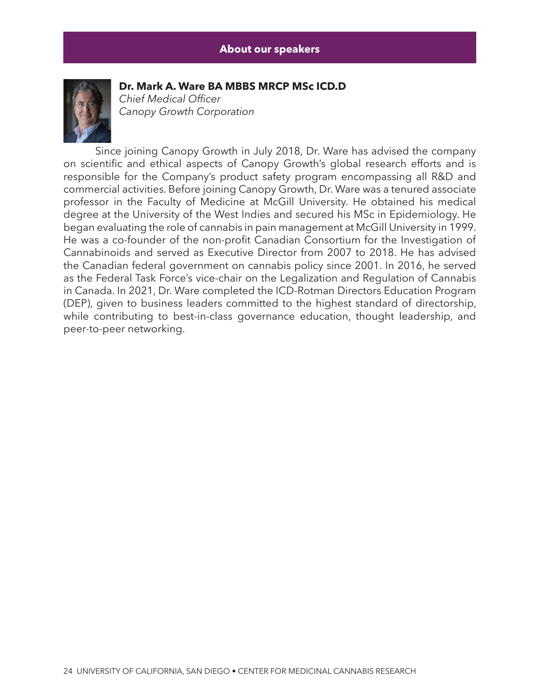

**Dr. Mark A. Ware BA MBBS MRCP MSc ICD.D**

*Chief Medical Officer Canopy Growth Corporation*

Since joining Canopy Growth in July 2018, Dr. Ware has advised the company on scientific and ethical aspects of Canopy Growth's global research efforts and is responsible for the Company's product safety program encompassing all R&D and commercial activities. Before joining Canopy Growth, Dr. Ware was a tenured associate professor in the Faculty of Medicine at McGill University. He obtained his medical degree at the University of the West Indies and secured his MSc in Epidemiology. He began evaluating the role of cannabis in pain management at McGill University in 1999. He was a co-founder of the non-profit Canadian Consortium for the Investigation of Cannabinoids and served as Executive Director from 2007 to 2018. He has advised the Canadian federal government on cannabis policy since 2001. In 2016, he served as the Federal Task Force's vice-chair on the Legalization and Regulation of Cannabis in Canada. In 2021, Dr. Ware completed the ICD-Rotman Directors Education Program (DEP), given to business leaders committed to the highest standard of directorship, while contributing to best-in-class governance education, thought leadership, and peer-to-peer networking.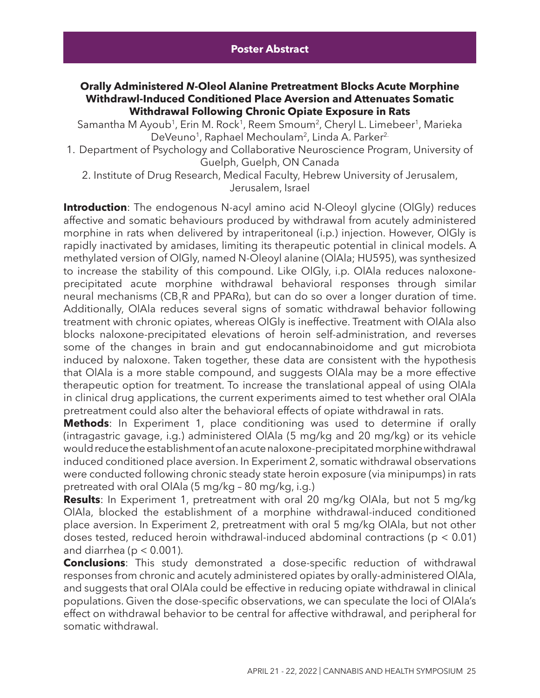#### **Orally Administered** *N***-Oleol Alanine Pretreatment Blocks Acute Morphine Withdrawl-Induced Conditioned Place Aversion and Attenuates Somatic Withdrawal Following Chronic Opiate Exposure in Rats**

Samantha M Ayoub<sup>1</sup>, Erin M. Rock<sup>1</sup>, Reem Smoum<sup>2</sup>, Cheryl L. Limebeer<sup>1</sup>, Marieka DeVeuno<sup>1</sup>, Raphael Mechoulam<sup>2</sup>, Linda A. Parker<sup>2.</sup>

- 1. Department of Psychology and Collaborative Neuroscience Program, University of Guelph, Guelph, ON Canada
	- 2. Institute of Drug Research, Medical Faculty, Hebrew University of Jerusalem, Jerusalem, Israel

**Introduction**: The endogenous N-acyl amino acid N-Oleoyl glycine (OlGly) reduces affective and somatic behaviours produced by withdrawal from acutely administered morphine in rats when delivered by intraperitoneal (i.p.) injection. However, OlGly is rapidly inactivated by amidases, limiting its therapeutic potential in clinical models. A methylated version of OlGly, named N-Oleoyl alanine (OlAla; HU595), was synthesized to increase the stability of this compound. Like OlGly, i.p. OlAla reduces naloxoneprecipitated acute morphine withdrawal behavioral responses through similar neural mechanisms (CB<sub>4</sub>R and PPARa), but can do so over a longer duration of time. Additionally, OlAla reduces several signs of somatic withdrawal behavior following treatment with chronic opiates, whereas OlGly is ineffective. Treatment with OlAla also blocks naloxone-precipitated elevations of heroin self-administration, and reverses some of the changes in brain and gut endocannabinoidome and gut microbiota induced by naloxone. Taken together, these data are consistent with the hypothesis that OlAla is a more stable compound, and suggests OlAla may be a more effective therapeutic option for treatment. To increase the translational appeal of using OlAla in clinical drug applications, the current experiments aimed to test whether oral OlAla pretreatment could also alter the behavioral effects of opiate withdrawal in rats.

**Methods**: In Experiment 1, place conditioning was used to determine if orally (intragastric gavage, i.g.) administered OlAla (5 mg/kg and 20 mg/kg) or its vehicle would reduce the establishment of an acute naloxone-precipitated morphine withdrawal induced conditioned place aversion. In Experiment 2, somatic withdrawal observations were conducted following chronic steady state heroin exposure (via minipumps) in rats pretreated with oral OlAla (5 mg/kg – 80 mg/kg, i.g.)

**Results**: In Experiment 1, pretreatment with oral 20 mg/kg OlAla, but not 5 mg/kg OlAla, blocked the establishment of a morphine withdrawal-induced conditioned place aversion. In Experiment 2, pretreatment with oral 5 mg/kg OlAla, but not other doses tested, reduced heroin withdrawal-induced abdominal contractions (p < 0.01) and diarrhea ( $p < 0.001$ ).

**Conclusions**: This study demonstrated a dose-specific reduction of withdrawal responses from chronic and acutely administered opiates by orally-administered OlAla, and suggests that oral OlAla could be effective in reducing opiate withdrawal in clinical populations. Given the dose-specific observations, we can speculate the loci of OlAla's effect on withdrawal behavior to be central for affective withdrawal, and peripheral for somatic withdrawal.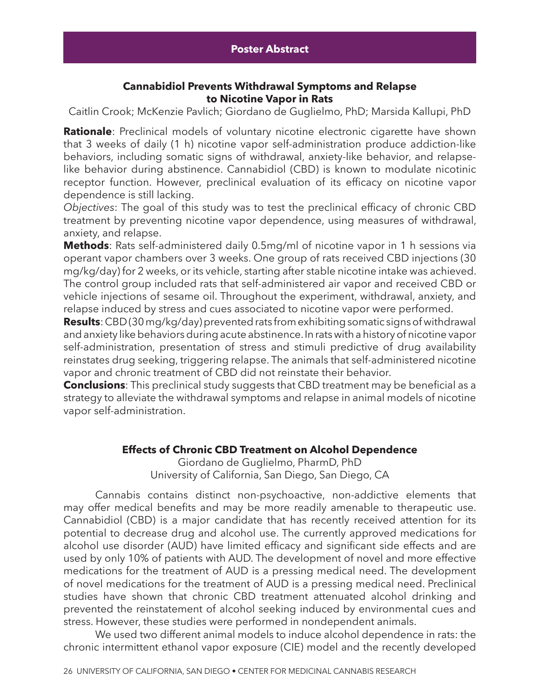#### **Cannabidiol Prevents Withdrawal Symptoms and Relapse to Nicotine Vapor in Rats**

Caitlin Crook; McKenzie Pavlich; Giordano de Guglielmo, PhD; Marsida Kallupi, PhD

**Rationale**: Preclinical models of voluntary nicotine electronic cigarette have shown that 3 weeks of daily (1 h) nicotine vapor self-administration produce addiction-like behaviors, including somatic signs of withdrawal, anxiety-like behavior, and relapselike behavior during abstinence. Cannabidiol (CBD) is known to modulate nicotinic receptor function. However, preclinical evaluation of its efficacy on nicotine vapor dependence is still lacking.

*Objectives*: The goal of this study was to test the preclinical efficacy of chronic CBD treatment by preventing nicotine vapor dependence, using measures of withdrawal, anxiety, and relapse.

**Methods**: Rats self-administered daily 0.5mg/ml of nicotine vapor in 1 h sessions via operant vapor chambers over 3 weeks. One group of rats received CBD injections (30 mg/kg/day) for 2 weeks, or its vehicle, starting after stable nicotine intake was achieved. The control group included rats that self-administered air vapor and received CBD or vehicle injections of sesame oil. Throughout the experiment, withdrawal, anxiety, and relapse induced by stress and cues associated to nicotine vapor were performed.

**Results**: CBD (30 mg/kg/day) prevented rats from exhibiting somatic signs of withdrawal and anxiety like behaviors during acute abstinence. In rats with a history of nicotine vapor self-administration, presentation of stress and stimuli predictive of drug availability reinstates drug seeking, triggering relapse. The animals that self-administered nicotine vapor and chronic treatment of CBD did not reinstate their behavior.

**Conclusions**: This preclinical study suggests that CBD treatment may be beneficial as a strategy to alleviate the withdrawal symptoms and relapse in animal models of nicotine vapor self-administration.

#### **Effects of Chronic CBD Treatment on Alcohol Dependence**

Giordano de Guglielmo, PharmD, PhD University of California, San Diego, San Diego, CA

Cannabis contains distinct non-psychoactive, non-addictive elements that may offer medical benefits and may be more readily amenable to therapeutic use. Cannabidiol (CBD) is a major candidate that has recently received attention for its potential to decrease drug and alcohol use. The currently approved medications for alcohol use disorder (AUD) have limited efficacy and significant side effects and are used by only 10% of patients with AUD. The development of novel and more effective medications for the treatment of AUD is a pressing medical need. The development of novel medications for the treatment of AUD is a pressing medical need. Preclinical studies have shown that chronic CBD treatment attenuated alcohol drinking and prevented the reinstatement of alcohol seeking induced by environmental cues and stress. However, these studies were performed in nondependent animals.

We used two different animal models to induce alcohol dependence in rats: the chronic intermittent ethanol vapor exposure (CIE) model and the recently developed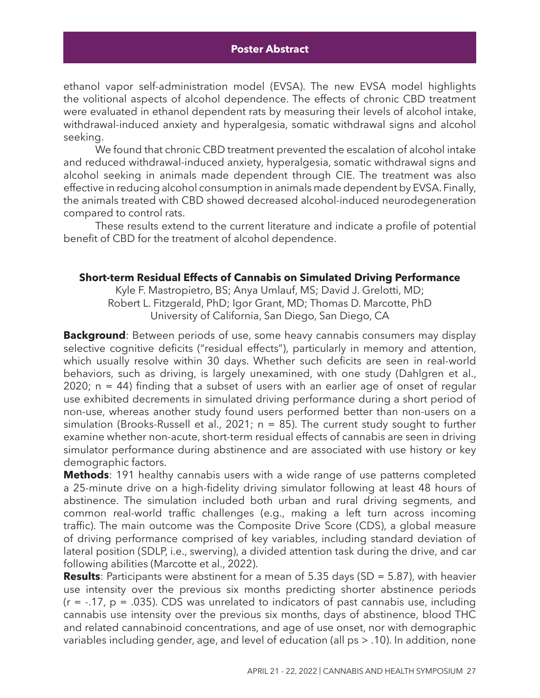ethanol vapor self-administration model (EVSA). The new EVSA model highlights the volitional aspects of alcohol dependence. The effects of chronic CBD treatment were evaluated in ethanol dependent rats by measuring their levels of alcohol intake, withdrawal-induced anxiety and hyperalgesia, somatic withdrawal signs and alcohol seeking.

We found that chronic CBD treatment prevented the escalation of alcohol intake and reduced withdrawal-induced anxiety, hyperalgesia, somatic withdrawal signs and alcohol seeking in animals made dependent through CIE. The treatment was also effective in reducing alcohol consumption in animals made dependent by EVSA. Finally, the animals treated with CBD showed decreased alcohol-induced neurodegeneration compared to control rats.

These results extend to the current literature and indicate a profile of potential benefit of CBD for the treatment of alcohol dependence.

#### **Short-term Residual Effects of Cannabis on Simulated Driving Performance**

Kyle F. Mastropietro, BS; Anya Umlauf, MS; David J. Grelotti, MD; Robert L. Fitzgerald, PhD; Igor Grant, MD; Thomas D. Marcotte, PhD University of California, San Diego, San Diego, CA

**Background**: Between periods of use, some heavy cannabis consumers may display selective cognitive deficits ("residual effects"), particularly in memory and attention, which usually resolve within 30 days. Whether such deficits are seen in real-world behaviors, such as driving, is largely unexamined, with one study (Dahlgren et al., 2020; n = 44) finding that a subset of users with an earlier age of onset of regular use exhibited decrements in simulated driving performance during a short period of non-use, whereas another study found users performed better than non-users on a simulation (Brooks-Russell et al., 2021;  $n = 85$ ). The current study sought to further examine whether non-acute, short-term residual effects of cannabis are seen in driving simulator performance during abstinence and are associated with use history or key demographic factors.

**Methods**: 191 healthy cannabis users with a wide range of use patterns completed a 25-minute drive on a high-fidelity driving simulator following at least 48 hours of abstinence. The simulation included both urban and rural driving segments, and common real-world traffic challenges (e.g., making a left turn across incoming traffic). The main outcome was the Composite Drive Score (CDS), a global measure of driving performance comprised of key variables, including standard deviation of lateral position (SDLP, i.e., swerving), a divided attention task during the drive, and car following abilities (Marcotte et al., 2022).

**Results**: Participants were abstinent for a mean of 5.35 days (SD = 5.87), with heavier use intensity over the previous six months predicting shorter abstinence periods  $(r = -.17, p = .035)$ . CDS was unrelated to indicators of past cannabis use, including cannabis use intensity over the previous six months, days of abstinence, blood THC and related cannabinoid concentrations, and age of use onset, nor with demographic variables including gender, age, and level of education (all ps > .10). In addition, none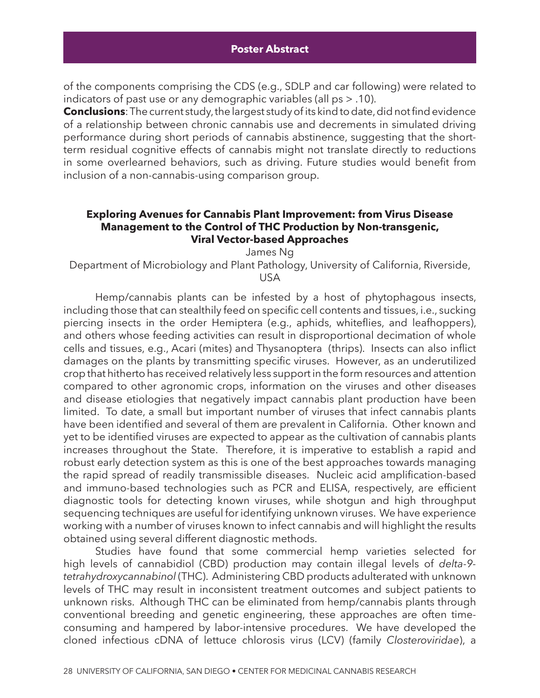of the components comprising the CDS (e.g., SDLP and car following) were related to indicators of past use or any demographic variables (all ps > .10).

**Conclusions**: The current study, the largest study of its kind to date, did not find evidence of a relationship between chronic cannabis use and decrements in simulated driving performance during short periods of cannabis abstinence, suggesting that the shortterm residual cognitive effects of cannabis might not translate directly to reductions in some overlearned behaviors, such as driving. Future studies would benefit from inclusion of a non-cannabis-using comparison group.

#### **Exploring Avenues for Cannabis Plant Improvement: from Virus Disease Management to the Control of THC Production by Non-transgenic, Viral Vector-based Approaches**

James Ng

Department of Microbiology and Plant Pathology, University of California, Riverside, USA

Hemp/cannabis plants can be infested by a host of phytophagous insects, including those that can stealthily feed on specific cell contents and tissues, i.e., sucking piercing insects in the order Hemiptera (e.g., aphids, whiteflies, and leafhoppers), and others whose feeding activities can result in disproportional decimation of whole cells and tissues, e.g., Acari (mites) and Thysanoptera (thrips). Insects can also inflict damages on the plants by transmitting specific viruses. However, as an underutilized crop that hitherto has received relatively less support in the form resources and attention compared to other agronomic crops, information on the viruses and other diseases and disease etiologies that negatively impact cannabis plant production have been limited. To date, a small but important number of viruses that infect cannabis plants have been identified and several of them are prevalent in California. Other known and yet to be identified viruses are expected to appear as the cultivation of cannabis plants increases throughout the State. Therefore, it is imperative to establish a rapid and robust early detection system as this is one of the best approaches towards managing the rapid spread of readily transmissible diseases. Nucleic acid amplification-based and immuno-based technologies such as PCR and ELISA, respectively, are efficient diagnostic tools for detecting known viruses, while shotgun and high throughput sequencing techniques are useful for identifying unknown viruses. We have experience working with a number of viruses known to infect cannabis and will highlight the results obtained using several different diagnostic methods.

Studies have found that some commercial hemp varieties selected for high levels of cannabidiol (CBD) production may contain illegal levels of *delta-9 tetrahydroxycannabinol* (THC). Administering CBD products adulterated with unknown levels of THC may result in inconsistent treatment outcomes and subject patients to unknown risks. Although THC can be eliminated from hemp/cannabis plants through conventional breeding and genetic engineering, these approaches are often timeconsuming and hampered by labor-intensive procedures. We have developed the cloned infectious cDNA of lettuce chlorosis virus (LCV) (family *Closteroviridae*), a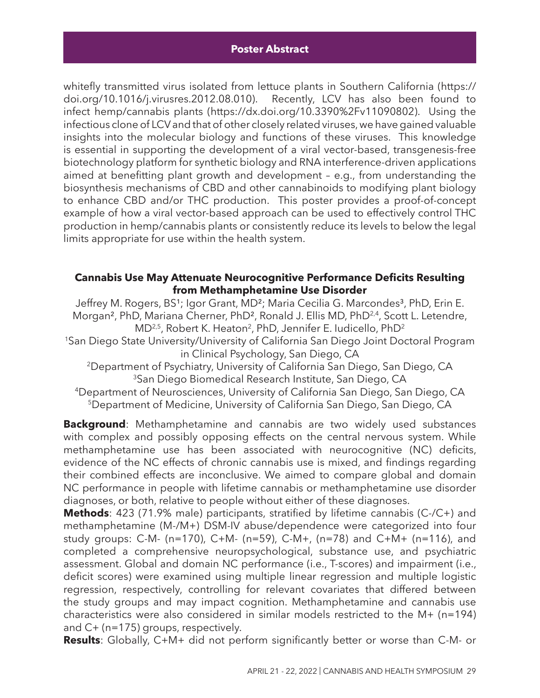whitefly transmitted virus isolated from lettuce plants in Southern California (https:// doi.org/10.1016/j.virusres.2012.08.010). Recently, LCV has also been found to infect hemp/cannabis plants (https://dx.doi.org/10.3390%2Fv11090802). Using the infectious clone of LCV and that of other closely related viruses, we have gained valuable insights into the molecular biology and functions of these viruses. This knowledge is essential in supporting the development of a viral vector-based, transgenesis-free biotechnology platform for synthetic biology and RNA interference-driven applications aimed at benefitting plant growth and development – e.g., from understanding the biosynthesis mechanisms of CBD and other cannabinoids to modifying plant biology to enhance CBD and/or THC production. This poster provides a proof-of-concept example of how a viral vector-based approach can be used to effectively control THC production in hemp/cannabis plants or consistently reduce its levels to below the legal limits appropriate for use within the health system.

#### **Cannabis Use May Attenuate Neurocognitive Performance Deficits Resulting from Methamphetamine Use Disorder**

Jeffrey M. Rogers, BS<sup>1</sup>; Igor Grant, MD<sup>2</sup>; Maria Cecilia G. Marcondes<sup>3</sup>, PhD, Erin E. Morgan<sup>2</sup>, PhD, Mariana Cherner, PhD<sup>2</sup>, Ronald J. Ellis MD, PhD<sup>2,4</sup>, Scott L. Letendre,  $MD<sup>2,5</sup>$ , Robert K. Heaton<sup>2</sup>, PhD, Jennifer E. Iudicello, PhD<sup>2</sup>

1San Diego State University/University of California San Diego Joint Doctoral Program in Clinical Psychology, San Diego, CA

2Department of Psychiatry, University of California San Diego, San Diego, CA 3San Diego Biomedical Research Institute, San Diego, CA

4Department of Neurosciences, University of California San Diego, San Diego, CA 5Department of Medicine, University of California San Diego, San Diego, CA

**Background**: Methamphetamine and cannabis are two widely used substances with complex and possibly opposing effects on the central nervous system. While methamphetamine use has been associated with neurocognitive (NC) deficits, evidence of the NC effects of chronic cannabis use is mixed, and findings regarding their combined effects are inconclusive. We aimed to compare global and domain NC performance in people with lifetime cannabis or methamphetamine use disorder diagnoses, or both, relative to people without either of these diagnoses.

**Methods**: 423 (71.9% male) participants, stratified by lifetime cannabis (C-/C+) and methamphetamine (M-/M+) DSM-IV abuse/dependence were categorized into four study groups: C-M- (n=170), C+M- (n=59), C-M+, (n=78) and C+M+ (n=116), and completed a comprehensive neuropsychological, substance use, and psychiatric assessment. Global and domain NC performance (i.e., T-scores) and impairment (i.e., deficit scores) were examined using multiple linear regression and multiple logistic regression, respectively, controlling for relevant covariates that differed between the study groups and may impact cognition. Methamphetamine and cannabis use characteristics were also considered in similar models restricted to the M+ (n=194) and C+ (n=175) groups, respectively.

**Results**: Globally, C+M+ did not perform significantly better or worse than C-M- or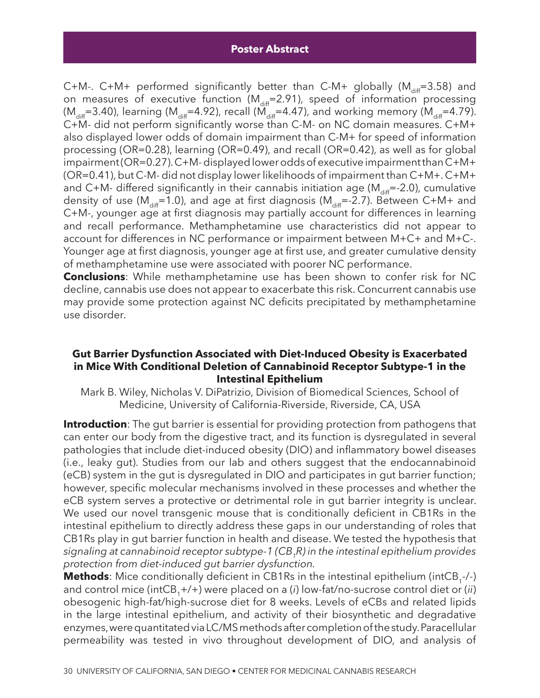C+M-. C+M+ performed significantly better than C-M+ globally ( $M_{\text{diff}}$ =3.58) and on measures of executive function ( $M_{diff}$ =2.91), speed of information processing  $(M_{diff}=3.40)$ , learning  $(M_{diff}=4.92)$ , recall  $(M_{diff}=4.47)$ , and working memory  $(M_{diff}=4.79)$ . C+M- did not perform significantly worse than C-M- on NC domain measures. C+M+ also displayed lower odds of domain impairment than C-M+ for speed of information processing (OR=0.28), learning (OR=0.49), and recall (OR=0.42), as well as for global impairment (OR=0.27). C+M- displayed lower odds of executive impairment than C+M+ (OR=0.41), but C-M- did not display lower likelihoods of impairment than C+M+. C+M+ and C+M- differed significantly in their cannabis initiation age ( $M_{diff}$ =-2.0), cumulative density of use ( $M_{diff}$ =1.0), and age at first diagnosis ( $M_{diff}$ =-2.7). Between C+M+ and C+M-, younger age at first diagnosis may partially account for differences in learning and recall performance. Methamphetamine use characteristics did not appear to account for differences in NC performance or impairment between M+C+ and M+C-. Younger age at first diagnosis, younger age at first use, and greater cumulative density of methamphetamine use were associated with poorer NC performance.

**Conclusions**: While methamphetamine use has been shown to confer risk for NC decline, cannabis use does not appear to exacerbate this risk. Concurrent cannabis use may provide some protection against NC deficits precipitated by methamphetamine use disorder.

#### **Gut Barrier Dysfunction Associated with Diet-Induced Obesity is Exacerbated in Mice With Conditional Deletion of Cannabinoid Receptor Subtype-1 in the Intestinal Epithelium**

Mark B. Wiley, Nicholas V. DiPatrizio, Division of Biomedical Sciences, School of Medicine, University of California-Riverside, Riverside, CA, USA

**Introduction**: The gut barrier is essential for providing protection from pathogens that can enter our body from the digestive tract, and its function is dysregulated in several pathologies that include diet-induced obesity (DIO) and inflammatory bowel diseases (i.e., leaky gut). Studies from our lab and others suggest that the endocannabinoid (eCB) system in the gut is dysregulated in DIO and participates in gut barrier function; however, specific molecular mechanisms involved in these processes and whether the eCB system serves a protective or detrimental role in gut barrier integrity is unclear. We used our novel transgenic mouse that is conditionally deficient in CB1Rs in the intestinal epithelium to directly address these gaps in our understanding of roles that CB1Rs play in gut barrier function in health and disease. We tested the hypothesis that *signaling at cannabinoid receptor subtype-1 (CB1R) in the intestinal epithelium provides protection from diet-induced gut barrier dysfunction.*

**Methods**: Mice conditionally deficient in CB1Rs in the intestinal epithelium (intCB<sub>1</sub>-/-) and control mice (intCB<sub>1</sub>+/+) were placed on a (*i*) low-fat/no-sucrose control diet or (*ii*) obesogenic high-fat/high-sucrose diet for 8 weeks. Levels of eCBs and related lipids in the large intestinal epithelium, and activity of their biosynthetic and degradative enzymes, were quantitated via LC/MS methods after completion of the study. Paracellular permeability was tested in vivo throughout development of DIO, and analysis of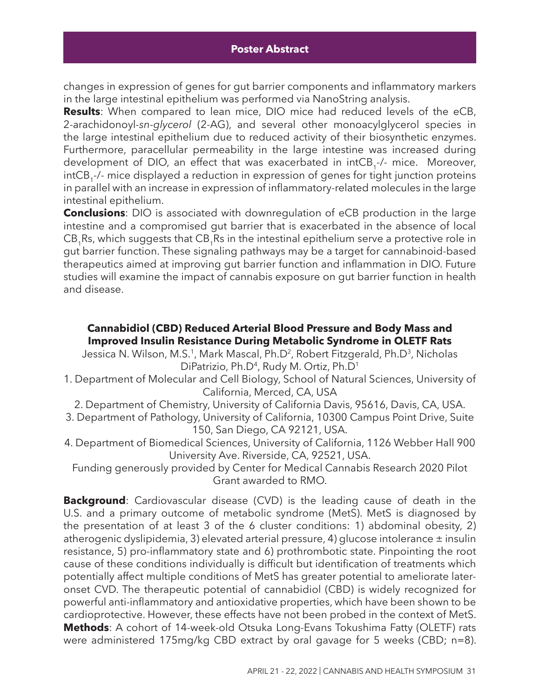changes in expression of genes for gut barrier components and inflammatory markers in the large intestinal epithelium was performed via NanoString analysis.

**Results**: When compared to lean mice, DIO mice had reduced levels of the eCB, 2-arachidonoyl*-sn-glycerol* (2-AG), and several other monoacylglycerol species in the large intestinal epithelium due to reduced activity of their biosynthetic enzymes. Furthermore, paracellular permeability in the large intestine was increased during development of DIO, an effect that was exacerbated in intCB<sub>1</sub>-/- mice. Moreover, intCB<sub>1</sub>-/- mice displayed a reduction in expression of genes for tight junction proteins in parallel with an increase in expression of inflammatory-related molecules in the large intestinal epithelium.

**Conclusions**: DIO is associated with downregulation of eCB production in the large intestine and a compromised gut barrier that is exacerbated in the absence of local CB<sub>4</sub>Rs, which suggests that CB<sub>4</sub>Rs in the intestinal epithelium serve a protective role in gut barrier function. These signaling pathways may be a target for cannabinoid-based therapeutics aimed at improving gut barrier function and inflammation in DIO. Future studies will examine the impact of cannabis exposure on gut barrier function in health and disease.

### **Cannabidiol (CBD) Reduced Arterial Blood Pressure and Body Mass and Improved Insulin Resistance During Metabolic Syndrome in OLETF Rats**

Jessica N. Wilson, M.S.<sup>1</sup>, Mark Mascal, Ph.D<sup>2</sup>, Robert Fitzgerald, Ph.D<sup>3</sup>, Nicholas DiPatrizio, Ph.D<sup>4</sup>, Rudy M. Ortiz, Ph.D<sup>1</sup>

1. Department of Molecular and Cell Biology, School of Natural Sciences, University of California, Merced, CA, USA

2. Department of Chemistry, University of California Davis, 95616, Davis, CA, USA.

- 3. Department of Pathology, University of California, 10300 Campus Point Drive, Suite 150, San Diego, CA 92121, USA.
- 4. Department of Biomedical Sciences, University of California, 1126 Webber Hall 900 University Ave. Riverside, CA, 92521, USA.

Funding generously provided by Center for Medical Cannabis Research 2020 Pilot Grant awarded to RMO.

**Background**: Cardiovascular disease (CVD) is the leading cause of death in the U.S. and a primary outcome of metabolic syndrome (MetS). MetS is diagnosed by the presentation of at least 3 of the 6 cluster conditions: 1) abdominal obesity, 2) atherogenic dyslipidemia, 3) elevated arterial pressure, 4) glucose intolerance  $\pm$  insulin resistance, 5) pro-inflammatory state and 6) prothrombotic state. Pinpointing the root cause of these conditions individually is difficult but identification of treatments which potentially affect multiple conditions of MetS has greater potential to ameliorate lateronset CVD. The therapeutic potential of cannabidiol (CBD) is widely recognized for powerful anti-inflammatory and antioxidative properties, which have been shown to be cardioprotective. However, these effects have not been probed in the context of MetS. **Methods**: A cohort of 14-week-old Otsuka Long-Evans Tokushima Fatty (OLETF) rats were administered 175mg/kg CBD extract by oral gavage for 5 weeks (CBD; n=8).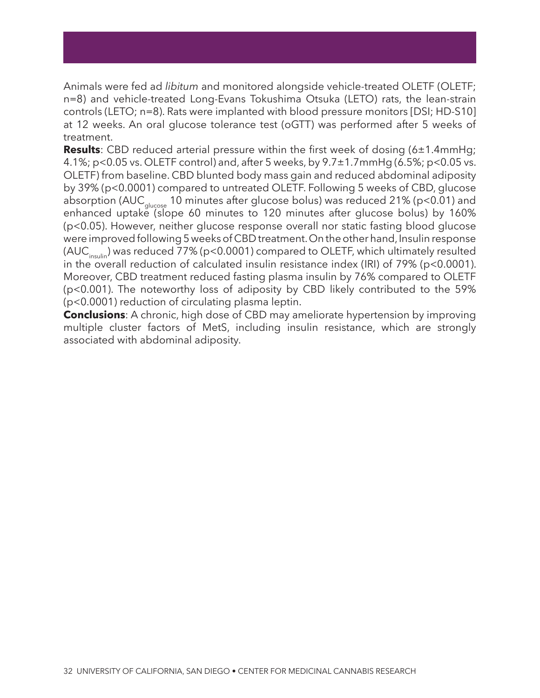Animals were fed ad *libitum* and monitored alongside vehicle-treated OLETF (OLETF; n=8) and vehicle-treated Long-Evans Tokushima Otsuka (LETO) rats, the lean-strain controls (LETO; n=8). Rats were implanted with blood pressure monitors [DSI; HD-S10] at 12 weeks. An oral glucose tolerance test (oGTT) was performed after 5 weeks of treatment.

**Results**: CBD reduced arterial pressure within the first week of dosing (6±1.4mmHg; 4.1%; p<0.05 vs. OLETF control) and, after 5 weeks, by 9.7±1.7mmHg (6.5%; p<0.05 vs. OLETF) from baseline. CBD blunted body mass gain and reduced abdominal adiposity by 39% (p<0.0001) compared to untreated OLETF. Following 5 weeks of CBD, glucose absorption (AUC<sub>glucose</sub> 10 minutes after glucose bolus) was reduced 21% (p<0.01) and enhanced uptake (slope 60 minutes to 120 minutes after glucose bolus) by 160% (p<0.05). However, neither glucose response overall nor static fasting blood glucose were improved following 5 weeks of CBD treatment. On the other hand, Insulin response  $(AUC<sub>inout</sub>)$  was reduced 77% (p<0.0001) compared to OLETF, which ultimately resulted in the overall reduction of calculated insulin resistance index (IRI) of 79% (p<0.0001). Moreover, CBD treatment reduced fasting plasma insulin by 76% compared to OLETF (p<0.001). The noteworthy loss of adiposity by CBD likely contributed to the 59% (p<0.0001) reduction of circulating plasma leptin.

**Conclusions**: A chronic, high dose of CBD may ameliorate hypertension by improving multiple cluster factors of MetS, including insulin resistance, which are strongly associated with abdominal adiposity.